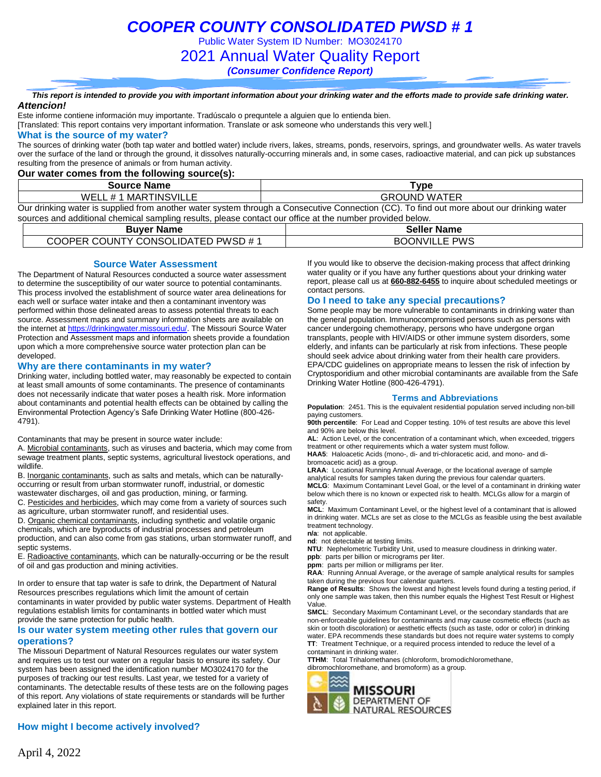Public Water System ID Number: MO3024170

2021 Annual Water Quality Report

*(Consumer Confidence Report)*

*This report is intended to provide you with important information about your drinking water and the efforts made to provide safe drinking water. Attencion!*

Este informe contiene información muy importante. Tradúscalo o prequntele a alguien que lo entienda bien.

[Translated: This report contains very important information. Translate or ask someone who understands this very well.]

#### **What is the source of my water?**

The sources of drinking water (both tap water and bottled water) include rivers, lakes, streams, ponds, reservoirs, springs, and groundwater wells. As water travels over the surface of the land or through the ground, it dissolves naturally-occurring minerals and, in some cases, radioactive material, and can pick up substances resulting from the presence of animals or from human activity.

### **Our water comes from the following source(s):**

| <b>Source Name</b>    | Type                                                                                                                                      |
|-----------------------|-------------------------------------------------------------------------------------------------------------------------------------------|
| WELL # 1 MARTINSVILLE | <b>GROUND WATER</b>                                                                                                                       |
|                       | Our drinking water is supplied from another water system through a Consecutive Connection (CC). To find out more about our drinking water |

sources and additional chemical sampling results, please contact our office at the number provided below.

| <b>Buver Name</b>                  | <b>Seller Name</b>   |
|------------------------------------|----------------------|
| COOPER COUNTY CONSOLIDATED PWSD #1 | <b>BOONVILLE PWS</b> |

#### **Source Water Assessment**

The Department of Natural Resources conducted a source water assessment to determine the susceptibility of our water source to potential contaminants. This process involved the establishment of source water area delineations for each well or surface water intake and then a contaminant inventory was performed within those delineated areas to assess potential threats to each source. Assessment maps and summary information sheets are available on the internet a[t https://drinkingwater.missouri.edu/.](https://drinkingwater.missouri.edu/) The Missouri Source Water Protection and Assessment maps and information sheets provide a foundation upon which a more comprehensive source water protection plan can be developed.

#### **Why are there contaminants in my water?**

Drinking water, including bottled water, may reasonably be expected to contain at least small amounts of some contaminants. The presence of contaminants does not necessarily indicate that water poses a health risk. More information about contaminants and potential health effects can be obtained by calling the Environmental Protection Agency's Safe Drinking Water Hotline (800-426- 4791).

Contaminants that may be present in source water include:

A. Microbial contaminants, such as viruses and bacteria, which may come from sewage treatment plants, septic systems, agricultural livestock operations, and wildlife.

B. Inorganic contaminants, such as salts and metals, which can be naturallyoccurring or result from urban stormwater runoff, industrial, or domestic wastewater discharges, oil and gas production, mining, or farming.

C. Pesticides and herbicides, which may come from a variety of sources such as agriculture, urban stormwater runoff, and residential uses.

D. Organic chemical contaminants, including synthetic and volatile organic chemicals, which are byproducts of industrial processes and petroleum production, and can also come from gas stations, urban stormwater runoff, and septic systems.

E. Radioactive contaminants, which can be naturally-occurring or be the result of oil and gas production and mining activities.

In order to ensure that tap water is safe to drink, the Department of Natural Resources prescribes regulations which limit the amount of certain contaminants in water provided by public water systems. Department of Health regulations establish limits for contaminants in bottled water which must provide the same protection for public health.

#### **Is our water system meeting other rules that govern our operations?**

The Missouri Department of Natural Resources regulates our water system and requires us to test our water on a regular basis to ensure its safety. Our system has been assigned the identification number MO3024170 for the purposes of tracking our test results. Last year, we tested for a variety of contaminants. The detectable results of these tests are on the following pages of this report. Any violations of state requirements or standards will be further explained later in this report.

### **How might I become actively involved?**

If you would like to observe the decision-making process that affect drinking water quality or if you have any further questions about your drinking water report, please call us at **660-882-6455** to inquire about scheduled meetings or contact persons.

#### **Do I need to take any special precautions?**

Some people may be more vulnerable to contaminants in drinking water than the general population. Immunocompromised persons such as persons with cancer undergoing chemotherapy, persons who have undergone organ transplants, people with HIV/AIDS or other immune system disorders, some elderly, and infants can be particularly at risk from infections. These people should seek advice about drinking water from their health care providers. EPA/CDC guidelines on appropriate means to lessen the risk of infection by Cryptosporidium and other microbial contaminants are available from the Safe Drinking Water Hotline (800-426-4791).

#### **Terms and Abbreviations**

**Population**: 2451. This is the equivalent residential population served including non-bill paying customers.

**90th percentile**: For Lead and Copper testing. 10% of test results are above this level and 90% are below this level.

**AL**: Action Level, or the concentration of a contaminant which, when exceeded, triggers treatment or other requirements which a water system must follow.

**HAA5**: Haloacetic Acids (mono-, di- and tri-chloracetic acid, and mono- and dibromoacetic acid) as a group.

**LRAA**: Locational Running Annual Average, or the locational average of sample analytical results for samples taken during the previous four calendar quarters. **MCLG**: Maximum Contaminant Level Goal, or the level of a contaminant in drinking water below which there is no known or expected risk to health. MCLGs allow for a margin of safety.

**MCL**: Maximum Contaminant Level, or the highest level of a contaminant that is allowed in drinking water. MCLs are set as close to the MCLGs as feasible using the best available treatment technology.

**n/a**: not applicable.

**nd**: not detectable at testing limits.

**NTU**: Nephelometric Turbidity Unit, used to measure cloudiness in drinking water.

**ppb**: parts per billion or micrograms per liter.

**ppm**: parts per million or milligrams per liter.

**RAA**: Running Annual Average, or the average of sample analytical results for samples taken during the previous four calendar quarters.

**Range of Results**: Shows the lowest and highest levels found during a testing period, if only one sample was taken, then this number equals the Highest Test Result or Highest Value.

**SMCL**: Secondary Maximum Contaminant Level, or the secondary standards that are non-enforceable guidelines for contaminants and may cause cosmetic effects (such as skin or tooth discoloration) or aesthetic effects (such as taste, odor or color) in drinking water. EPA recommends these standards but does not require water systems to comply **TT**: Treatment Technique, or a required process intended to reduce the level of a contaminant in drinking water.

**TTHM**: Total Trihalomethanes (chloroform, bromodichloromethane, dibromochloromethane, and bromoform) as a group.

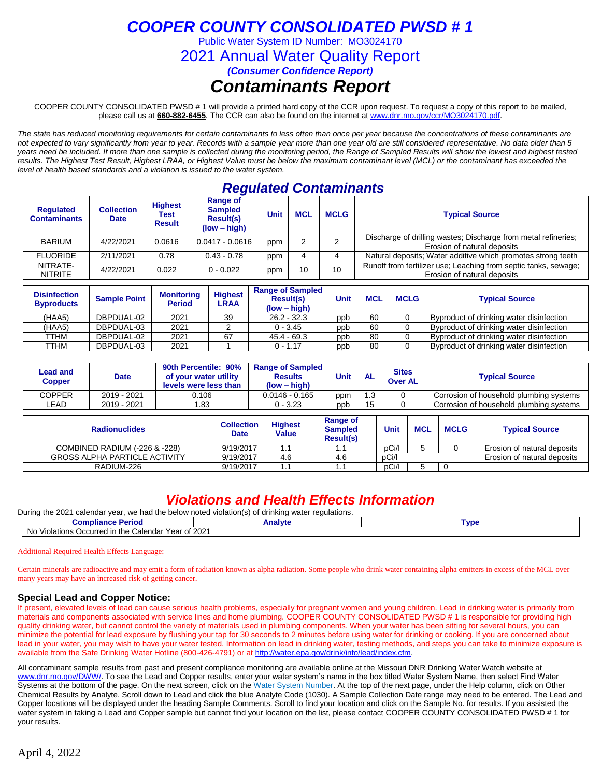Public Water System ID Number: MO3024170

2021 Annual Water Quality Report

*(Consumer Confidence Report)*

# *Contaminants Report*

COOPER COUNTY CONSOLIDATED PWSD # 1 will provide a printed hard copy of the CCR upon request. To request a copy of this report to be mailed, please call us at **660-882-6455***.* The CCR can also be found on the internet at www.dnr.mo.gov/ccr/MO3024170.pdf.

*The state has reduced monitoring requirements for certain contaminants to less often than once per year because the concentrations of these contaminants are not expected to vary significantly from year to year. Records with a sample year more than one year old are still considered representative. No data older than 5 years need be included. If more than one sample is collected during the monitoring period, the Range of Sampled Results will show the lowest and highest tested results. The Highest Test Result, Highest LRAA, or Highest Value must be below the maximum contaminant level (MCL) or the contaminant has exceeded the level of health based standards and a violation is issued to the water system.* 

## *Regulated Contaminants*

| <b>Requlated</b><br><b>Contaminants</b> | <b>Collection</b><br><b>Date</b> | <b>Highest</b><br>Test<br><b>Result</b> | Range of<br><b>Sampled</b><br><b>Result(s)</b><br>$(low - high)$ | <b>Unit</b> | <b>MCL</b> | <b>MCLG</b> | <b>Typical Source</b>                                                                          |
|-----------------------------------------|----------------------------------|-----------------------------------------|------------------------------------------------------------------|-------------|------------|-------------|------------------------------------------------------------------------------------------------|
| <b>BARIUM</b>                           | 4/22/2021                        | 0.0616                                  | $0.0417 - 0.0616$                                                | ppm         |            |             | Discharge of drilling wastes; Discharge from metal refineries;<br>Erosion of natural deposits  |
| <b>FLUORIDE</b>                         | 2/11/2021                        | 0.78                                    | $0.43 - 0.78$                                                    | ppm         |            |             | Natural deposits; Water additive which promotes strong teeth                                   |
| NITRATE-<br><b>NITRITE</b>              | 4/22/2021                        | 0.022                                   | $0 - 0.022$                                                      | ppm         | 10         | 10          | Runoff from fertilizer use; Leaching from septic tanks, sewage;<br>Erosion of natural deposits |

| <b>Disinfection</b><br><b>Byproducts</b> | <b>Sample Point</b> | <b>Monitoring</b><br><b>Period</b> | <b>Highest</b><br>LRAA | <b>Range of Sampled</b><br><b>Result(s)</b><br>$(low - high)$ | Unit | <b>MCL</b> | <b>MCLG</b> | <b>Typical Source</b>                    |
|------------------------------------------|---------------------|------------------------------------|------------------------|---------------------------------------------------------------|------|------------|-------------|------------------------------------------|
| (HAA5)                                   | DBPDUAL-02          | 2021                               | 39                     | $26.2 - 32.3$                                                 | ppb  | 60         |             | Byproduct of drinking water disinfection |
| (HAA5)                                   | DBPDUAL-03          | 2021                               |                        | $0 - 3.45$                                                    | ppb  | 60         |             | Byproduct of drinking water disinfection |
| TTHM                                     | DBPDUAL-02          | 2021                               | 67                     | $45.4 - 69.3$                                                 | ppb  | 80         |             | Byproduct of drinking water disinfection |
| TTHM                                     | DBPDUAL-03          | 2021                               |                        | $0 - 1.17$                                                    | ppb  | 80         |             | Byproduct of drinking water disinfection |

| Lead and<br>Copper | <b>Date</b> | 90th Percentile: 90%<br>of your water utility<br>levels were less than | <b>Range of Sampled</b><br><b>Results</b><br>(low – hiah) | Unit | <b>AL</b> | <b>Sites</b><br><b>Over AL</b> | <b>Typical Source</b>                   |
|--------------------|-------------|------------------------------------------------------------------------|-----------------------------------------------------------|------|-----------|--------------------------------|-----------------------------------------|
| COPPER             | 2019 - 2021 | 0.106                                                                  | $0.0146 - 0.165$                                          | ppm  | 1.3       |                                | Corrosion of household plumbing systems |
| ∟EAD               | 2019 - 2021 | .83                                                                    | $0 - 3.23$                                                | ppb  | 15        |                                | Corrosion of household plumbing systems |

| <b>Radionuclides</b>                 | <b>Collection</b><br><b>Date</b> | <b>Highest</b><br><b>Value</b> | Range of<br><b>Sampled</b><br><b>Result(s)</b> | Unit  | <b>MCL</b> | <b>MCLG</b> | <b>Typical Source</b>       |
|--------------------------------------|----------------------------------|--------------------------------|------------------------------------------------|-------|------------|-------------|-----------------------------|
| COMBINED RADIUM (-226 & -228)        | 9/19/2017                        |                                |                                                | pCi/l |            |             | Erosion of natural deposits |
| <b>GROSS ALPHA PARTICLE ACTIVITY</b> | 9/19/2017                        | 4.6                            | 4.6                                            | pCi/l |            |             | Erosion of natural deposits |
| RADIUM-226                           | 9/19/2017                        |                                |                                                | pCi/l |            |             |                             |

# *Violations and Health Effects Information*

| During the 2021<br>calendar vear.<br>, we had the below noted violation(s).<br>f drinking water regulations.<br>∩t<br>- 91 |         |      |  |  |  |  |  |  |  |
|----------------------------------------------------------------------------------------------------------------------------|---------|------|--|--|--|--|--|--|--|
| <b>Compliance Period</b>                                                                                                   | Analyte | `VD€ |  |  |  |  |  |  |  |
| Violations Occurred in the Calendar Year of 2021<br>N <sub>IO</sub><br>טאו                                                 |         |      |  |  |  |  |  |  |  |

Additional Required Health Effects Language:

Certain minerals are radioactive and may emit a form of radiation known as alpha radiation. Some people who drink water containing alpha emitters in excess of the MCL over many years may have an increased risk of getting cancer.

### **Special Lead and Copper Notice:**

If present, elevated levels of lead can cause serious health problems, especially for pregnant women and young children. Lead in drinking water is primarily from materials and components associated with service lines and home plumbing. COOPER COUNTY CONSOLIDATED PWSD # 1 is responsible for providing high quality drinking water, but cannot control the variety of materials used in plumbing components. When your water has been sitting for several hours, you can minimize the potential for lead exposure by flushing your tap for 30 seconds to 2 minutes before using water for drinking or cooking. If you are concerned about lead in your water, you may wish to have your water tested. Information on lead in drinking water, testing methods, and steps you can take to minimize exposure is available from the Safe Drinking Water Hotline (800-426-4791) or at [http://water.epa.gov/drink/info/lead/index.cfm.](http://water.epa.gov/drink/info/lead/index.cfm)

All contaminant sample results from past and present compliance monitoring are available online at the Missouri DNR Drinking Water Watch website at [www.dnr.mo.gov/DWW/.](http://www.dnr.mo.gov/DWW/) To see the Lead and Copper results, enter your water system's name in the box titled Water System Name, then select Find Water Systems at the bottom of the page. On the next screen, click on the Water System Number. At the top of the next page, under the Help column, click on Other Chemical Results by Analyte. Scroll down to Lead and click the blue Analyte Code (1030). A Sample Collection Date range may need to be entered. The Lead and Copper locations will be displayed under the heading Sample Comments. Scroll to find your location and click on the Sample No. for results. If you assisted the water system in taking a Lead and Copper sample but cannot find your location on the list, please contact COOPER COUNTY CONSOLIDATED PWSD # 1 for your results.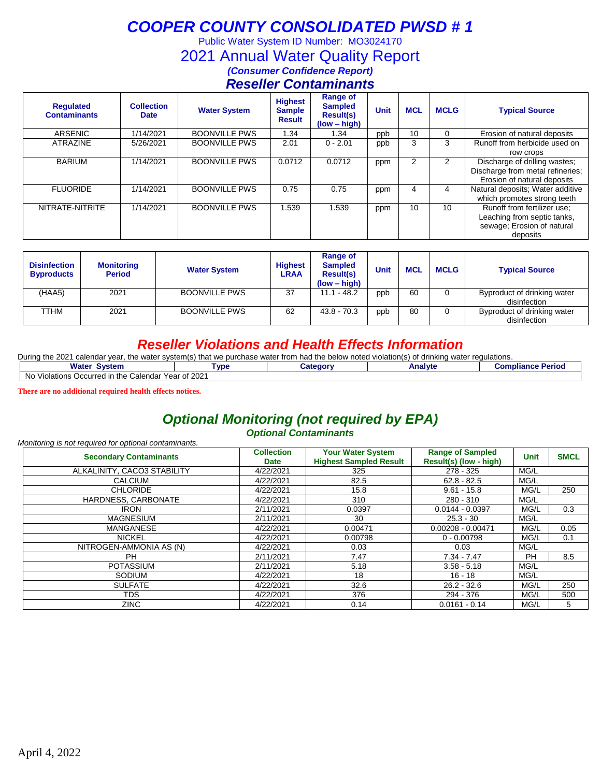Public Water System ID Number: MO3024170

## 2021 Annual Water Quality Report

*(Consumer Confidence Report)*

## *Reseller Contaminants*

| <b>Requlated</b><br><b>Contaminants</b> | <b>Collection</b><br><b>Date</b> | <b>Water System</b>  | <b>Highest</b><br><b>Sample</b><br><b>Result</b> | <b>Range of</b><br><b>Sampled</b><br><b>Result(s)</b><br>$(low - high)$ | <b>Unit</b> | <b>MCL</b> | <b>MCLG</b>     | <b>Typical Source</b>                                                                                |
|-----------------------------------------|----------------------------------|----------------------|--------------------------------------------------|-------------------------------------------------------------------------|-------------|------------|-----------------|------------------------------------------------------------------------------------------------------|
| ARSENIC                                 | 1/14/2021                        | <b>BOONVILLE PWS</b> | I.34                                             | 1.34                                                                    | ppb         | 10         | 0               | Erosion of natural deposits                                                                          |
| <b>ATRAZINE</b>                         | 5/26/2021                        | <b>BOONVILLE PWS</b> | 2.01                                             | $0 - 2.01$                                                              | ppb         | 3          | 3               | Runoff from herbicide used on<br>row crops                                                           |
| <b>BARIUM</b>                           | 1/14/2021                        | <b>BOONVILLE PWS</b> | 0.0712                                           | 0.0712                                                                  | ppm         | 2          | $\overline{2}$  | Discharge of drilling wastes;<br>Discharge from metal refineries;<br>Erosion of natural deposits     |
| <b>FLUORIDE</b>                         | 1/14/2021                        | <b>BOONVILLE PWS</b> | 0.75                                             | 0.75                                                                    | ppm         | 4          | 4               | Natural deposits; Water additive<br>which promotes strong teeth                                      |
| NITRATE-NITRITE                         | 1/14/2021                        | <b>BOONVILLE PWS</b> | .539                                             | 1.539                                                                   | ppm         | 10         | 10 <sup>1</sup> | Runoff from fertilizer use:<br>Leaching from septic tanks,<br>sewage; Erosion of natural<br>deposits |

| <b>Disinfection</b><br><b>Byproducts</b> | <b>Monitoring</b><br><b>Period</b> | <b>Water System</b>  | <b>Highest</b><br><b>LRAA</b> | Range of<br><b>Sampled</b><br><b>Result(s)</b><br>$(low - high)$ | <b>Unit</b> | <b>MCL</b> | <b>MCLG</b> | <b>Typical Source</b>                       |
|------------------------------------------|------------------------------------|----------------------|-------------------------------|------------------------------------------------------------------|-------------|------------|-------------|---------------------------------------------|
| (HAA5)                                   | 2021                               | <b>BOONVILLE PWS</b> | -37                           | $11.1 - 48.2$                                                    | ppb         | 60         |             | Byproduct of drinking water<br>disinfection |
| TTHM                                     | 2021                               | <b>BOONVILLE PWS</b> | 62                            | $43.8 - 70.3$                                                    | ppb         | 80         |             | Byproduct of drinking water<br>disinfection |

## *Reseller Violations and Health Effects Information*

| Durina<br>the 2021 u<br>) that we<br>water system(s).<br>⊥the<br>calendar vear.<br>requiations.<br><b>bod</b><br>e purchase water from h<br>the<br>e below noted violation(s) (<br>, drinking water<br>$\sim$<br>$'$ lidu<br>v |                |  |  |  |  |  |  |  |  |  |
|--------------------------------------------------------------------------------------------------------------------------------------------------------------------------------------------------------------------------------|----------------|--|--|--|--|--|--|--|--|--|
| Water<br>Period<br><b>System</b><br><b>Analyte</b><br><b>Tvpe</b><br><b>Compliance</b><br>شcateαor                                                                                                                             |                |  |  |  |  |  |  |  |  |  |
| ı the<br>. Calendar<br>N0<br>Violations Occurred in                                                                                                                                                                            | r Year of 2021 |  |  |  |  |  |  |  |  |  |

**There are no additional required health effects notices.**

# *Optional Monitoring (not required by EPA)*

*Optional Contaminants*

| Monitoring is not required for optional contaminants. |                                  |                                                           |                                                   |             |             |
|-------------------------------------------------------|----------------------------------|-----------------------------------------------------------|---------------------------------------------------|-------------|-------------|
| <b>Secondary Contaminants</b>                         | <b>Collection</b><br><b>Date</b> | <b>Your Water System</b><br><b>Highest Sampled Result</b> | <b>Range of Sampled</b><br>Result(s) (low - high) | <b>Unit</b> | <b>SMCL</b> |
| ALKALINITY, CACO3 STABILITY                           | 4/22/2021                        | 325                                                       | 278 - 325                                         | MG/L        |             |
| <b>CALCIUM</b>                                        | 4/22/2021                        | 82.5                                                      | $62.8 - 82.5$                                     | MG/L        |             |
| <b>CHLORIDE</b>                                       | 4/22/2021                        | 15.8                                                      | $9.61 - 15.8$                                     | MG/L        | 250         |
| HARDNESS, CARBONATE                                   | 4/22/2021                        | 310                                                       | $280 - 310$                                       | MG/L        |             |
| <b>IRON</b>                                           | 2/11/2021                        | 0.0397                                                    | $0.0144 - 0.0397$                                 | MG/L        | 0.3         |
| <b>MAGNESIUM</b>                                      | 2/11/2021                        | 30                                                        | $25.3 - 30$                                       | MG/L        |             |
| <b>MANGANESE</b>                                      | 4/22/2021                        | 0.00471                                                   | $0.00208 - 0.00471$                               | MG/L        | 0.05        |
| <b>NICKEL</b>                                         | 4/22/2021                        | 0.00798                                                   | $0 - 0.00798$                                     | MG/L        | 0.1         |
| NITROGEN-AMMONIA AS (N)                               | 4/22/2021                        | 0.03                                                      | 0.03                                              | MG/L        |             |
| <b>PH</b>                                             | 2/11/2021                        | 7.47                                                      | $7.34 - 7.47$                                     | <b>PH</b>   | 8.5         |
| <b>POTASSIUM</b>                                      | 2/11/2021                        | 5.18                                                      | $3.58 - 5.18$                                     | MG/L        |             |
| <b>SODIUM</b>                                         | 4/22/2021                        | 18                                                        | 16 - 18                                           | MG/L        |             |
| <b>SULFATE</b>                                        | 4/22/2021                        | 32.6                                                      | $26.2 - 32.6$                                     | MG/L        | 250         |
| TDS                                                   | 4/22/2021                        | 376                                                       | 294 - 376                                         | MG/L        | 500         |
| <b>ZINC</b>                                           | 4/22/2021                        | 0.14                                                      | $0.0161 - 0.14$                                   | MG/L        | 5           |